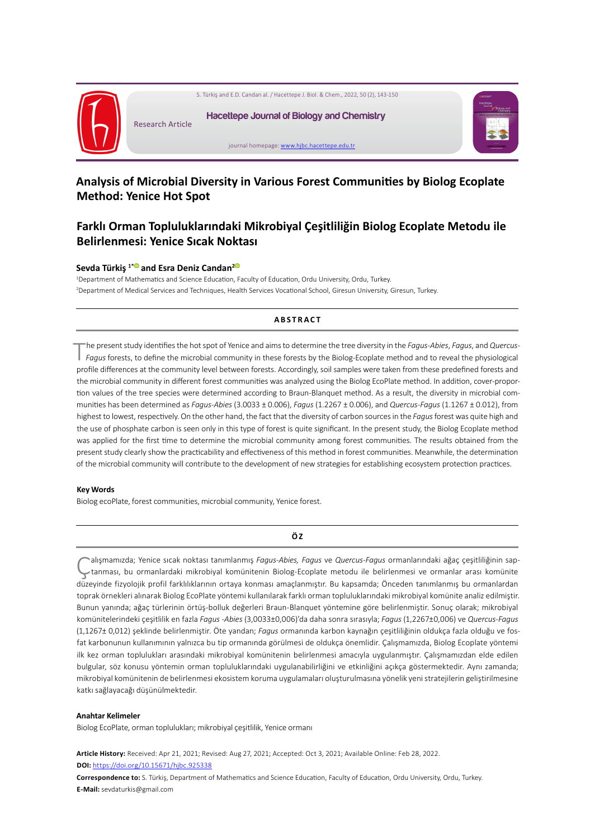

# **Analysis of Microbial Diversity in Various Forest Communities by Biolog Ecoplate Method: Yenice Hot Spot**

# **Farklı Orman Topluluklarındaki Mikrobiyal Çeşitliliğin Biolog Ecoplate Metodu ile Belirlenmesi: Yenice Sıcak Noktası**

## **Sevda Türkiş 1[\\* a](https://orcid.org/0000-0002-1853-8437)nd Esra Deniz Candan[2](https://orcid.org/0000-0003-2515-9643)**

1 Department of Mathematics and Science Education, Faculty of Education, Ordu University, Ordu, Turkey. 2 Department of Medical Services and Techniques, Health Services Vocational School, Giresun University, Giresun, Turkey.

## **ABSTRACT**

The present study identifies the hot spot of Yenice and aims to determine the tree diversity in the *Fagus-Abies*, *Fagus*, and *Quercus-Fagus* forests, to define the microbial community in these forests by the Biolog-Ecoplate method and to reveal the physiological profile differences at the community level between forests. Accordingly, soil samples were taken from these predefined forests and the microbial community in different forest communities was analyzed using the Biolog EcoPlate method. In addition, cover-proportion values of the tree species were determined according to Braun-Blanquet method. As a result, the diversity in microbial communities has been determined as *Fagus-Abies* (3.0033 ± 0.006), *Fagus* (1.2267 ± 0.006), and *Quercus-Fagus* (1.1267 ± 0.012), from highest to lowest, respectively. On the other hand, the fact that the diversity of carbon sources in the *Fagus* forest was quite high and the use of phosphate carbon is seen only in this type of forest is quite significant. In the present study, the Biolog Ecoplate method was applied for the first time to determine the microbial community among forest communities. The results obtained from the present study clearly show the practicability and effectiveness of this method in forest communities. Meanwhile, the determination of the microbial community will contribute to the development of new strategies for establishing ecosystem protection practices.

#### **Key Words**

Biolog ecoPlate, forest communities, microbial community, Yenice forest.

#### **Ö Z**

Çalışmamızda; Yenice sıcak noktası tanımlanmış *Fagus-Abies, Fagus* ve *Quercus-Fagus* ormanlarındaki ağaç çeşitliliğinin saptanması, bu ormanlardaki mikrobiyal komünitenin Biolog-Ecoplate metodu ile belirlenmesi ve ormanlar arası komünite düzeyinde fizyolojik profil farklılıklarının ortaya konması amaçlanmıştır. Bu kapsamda; Önceden tanımlanmış bu ormanlardan toprak örnekleri alınarak Biolog EcoPlate yöntemi kullanılarak farklı orman topluluklarındaki mikrobiyal komünite analiz edilmiştir. Bunun yanında; ağaç türlerinin örtüş-bolluk değerleri Braun-Blanquet yöntemine göre belirlenmiştir. Sonuç olarak; mikrobiyal komünitelerindeki çeşitlilik en fazla *Fagus -Abies* (3,0033±0,006)'da daha sonra sırasıyla; *Fagus* (1,2267±0,006) ve *Quercus-Fagus*  (1,1267± 0,012) şeklinde belirlenmiştir. Öte yandan; *Fagus* ormanında karbon kaynağın çeşitliliğinin oldukça fazla olduğu ve fosfat karbonunun kullanımının yalnızca bu tip ormanında görülmesi de oldukça önemlidir. Çalışmamızda, Biolog Ecoplate yöntemi ilk kez orman toplulukları arasındaki mikrobiyal komünitenin belirlenmesi amacıyla uygulanmıştır. Çalışmamızdan elde edilen bulgular, söz konusu yöntemin orman topluluklarındaki uygulanabilirliğini ve etkinliğini açıkça göstermektedir. Aynı zamanda; mikrobiyal komünitenin de belirlenmesi ekosistem koruma uygulamaları oluşturulmasına yönelik yeni stratejilerin geliştirilmesine katkı sağlayacağı düşünülmektedir.

#### **Anahtar Kelimeler**

Biolog EcoPlate, orman toplulukları; mikrobiyal çeşitlilik, Yenice ormanı

**Article History:** Received: Apr 21, 2021; Revised: Aug 27, 2021; Accepted: Oct 3, 2021; Available Online: Feb 28, 2022. **DOI:** <https://doi.org/10.15671/hjbc.925338>

**Correspondence to:** S. Türkiş, Department of Mathematics and Science Education, Faculty of Education, Ordu University, Ordu, Turkey. **E-Mail:** sevdaturkis@gmail.com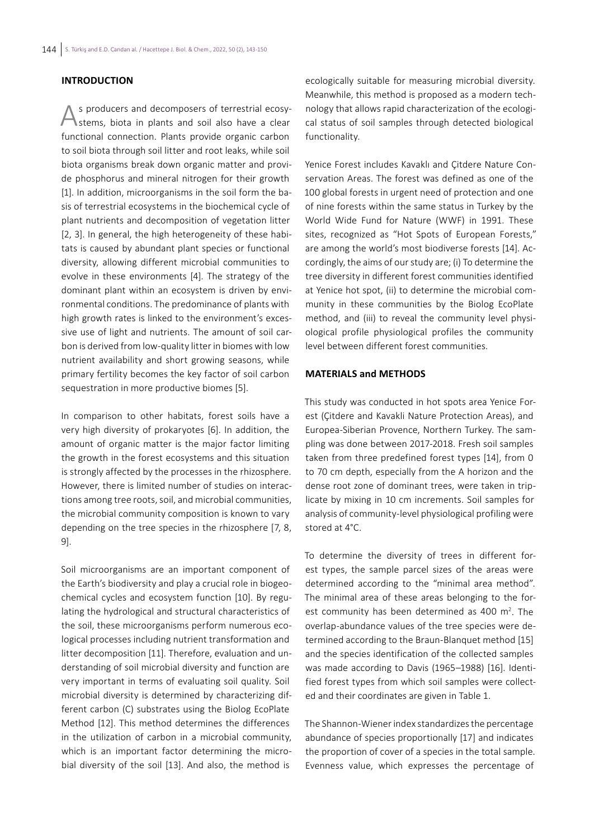## **INTRODUCTION**

As producers and decomposers of terrestrial ecosy-stems, biota in plants and soil also have a clear functional connection. Plants provide organic carbon to soil biota through soil litter and root leaks, while soil biota organisms break down organic matter and provide phosphorus and mineral nitrogen for their growth [1]. In addition, microorganisms in the soil form the basis of terrestrial ecosystems in the biochemical cycle of plant nutrients and decomposition of vegetation litter [2, 3]. In general, the high heterogeneity of these habitats is caused by abundant plant species or functional diversity, allowing different microbial communities to evolve in these environments [4]. The strategy of the dominant plant within an ecosystem is driven by environmental conditions. The predominance of plants with high growth rates is linked to the environment's excessive use of light and nutrients. The amount of soil carbon is derived from low-quality litter in biomes with low nutrient availability and short growing seasons, while primary fertility becomes the key factor of soil carbon sequestration in more productive biomes [5].

In comparison to other habitats, forest soils have a very high diversity of prokaryotes [6]. In addition, the amount of organic matter is the major factor limiting the growth in the forest ecosystems and this situation is strongly affected by the processes in the rhizosphere. However, there is limited number of studies on interactions among tree roots, soil, and microbial communities, the microbial community composition is known to vary depending on the tree species in the rhizosphere [7, 8, 9].

Soil microorganisms are an important component of the Earth's biodiversity and play a crucial role in biogeochemical cycles and ecosystem function [10]. By regulating the hydrological and structural characteristics of the soil, these microorganisms perform numerous ecological processes including nutrient transformation and litter decomposition [11]. Therefore, evaluation and understanding of soil microbial diversity and function are very important in terms of evaluating soil quality. Soil microbial diversity is determined by characterizing different carbon (C) substrates using the Biolog EcoPlate Method [12]. This method determines the differences in the utilization of carbon in a microbial community, which is an important factor determining the microbial diversity of the soil [13]. And also, the method is

ecologically suitable for measuring microbial diversity. Meanwhile, this method is proposed as a modern technology that allows rapid characterization of the ecological status of soil samples through detected biological functionality.

Yenice Forest includes Kavaklı and Çitdere Nature Conservation Areas. The forest was defined as one of the 100 global forests in urgent need of protection and one of nine forests within the same status in Turkey by the World Wide Fund for Nature (WWF) in 1991. These sites, recognized as "Hot Spots of European Forests," are among the world's most biodiverse forests [14]. Accordingly, the aims of our study are; (i) To determine the tree diversity in different forest communities identified at Yenice hot spot, (ii) to determine the microbial community in these communities by the Biolog EcoPlate method, and (iii) to reveal the community level physiological profile physiological profiles the community level between different forest communities.

## **MATERIALS and METHODS**

This study was conducted in hot spots area Yenice Forest (Çitdere and Kavakli Nature Protection Areas), and Europea-Siberian Provence, Northern Turkey. The sampling was done between 2017-2018. Fresh soil samples taken from three predefined forest types [14], from 0 to 70 cm depth, especially from the A horizon and the dense root zone of dominant trees, were taken in triplicate by mixing in 10 cm increments. Soil samples for analysis of community-level physiological profiling were stored at 4°C.

To determine the diversity of trees in different forest types, the sample parcel sizes of the areas were determined according to the "minimal area method". The minimal area of these areas belonging to the forest community has been determined as 400  $m^2$ . The overlap-abundance values of the tree species were determined according to the Braun-Blanquet method [15] and the species identification of the collected samples was made according to Davis (1965–1988) [16]. Identified forest types from which soil samples were collected and their coordinates are given in Table 1.

The Shannon-Wiener index standardizes the percentage abundance of species proportionally [17] and indicates the proportion of cover of a species in the total sample. Evenness value, which expresses the percentage of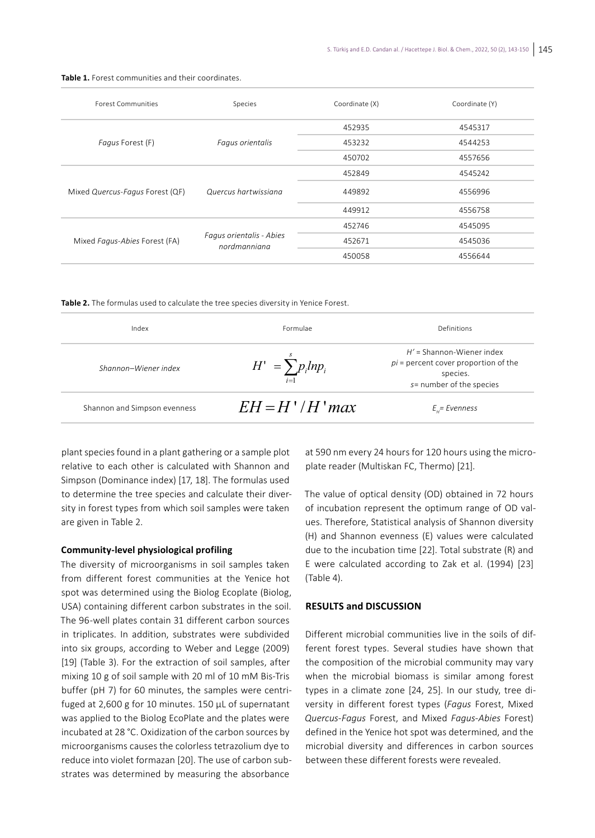| <b>Forest Communities</b>       | Species                                  | Coordinate (X) | Coordinate (Y) |
|---------------------------------|------------------------------------------|----------------|----------------|
| Fagus Forest (F)                | Fagus orientalis                         | 452935         | 4545317        |
|                                 |                                          | 453232         | 4544253        |
|                                 |                                          | 450702         | 4557656        |
| Mixed Quercus-Fagus Forest (QF) | Quercus hartwissiana                     | 452849         | 4545242        |
|                                 |                                          | 449892         | 4556996        |
|                                 |                                          | 449912         | 4556758        |
| Mixed Fagus-Abies Forest (FA)   | Fagus orientalis - Abies<br>nordmanniana | 452746         | 4545095        |
|                                 |                                          | 452671         | 4545036        |
|                                 |                                          | 450058         | 4556644        |

**Table 1.** Forest communities and their coordinates.

**Table 2.** The formulas used to calculate the tree species diversity in Yenice Forest.

| Index<br>Formulae            |                                  | Definitions                                                                                                   |  |
|------------------------------|----------------------------------|---------------------------------------------------------------------------------------------------------------|--|
| Shannon-Wiener index         | $H' = \sum p_i l n p_i$<br>$i=1$ | $H'$ = Shannon-Wiener index<br>$pi$ = percent cover proportion of the<br>species.<br>s= number of the species |  |
| Shannon and Simpson evenness | $EH = H'/H'$ max                 | $E_{\mu}$ = Evenness                                                                                          |  |

plant species found in a plant gathering or a sample plot relative to each other is calculated with Shannon and Simpson (Dominance index) [17, 18]. The formulas used to determine the tree species and calculate their diversity in forest types from which soil samples were taken are given in Table 2.

## **Community-level physiological profiling**

The diversity of microorganisms in soil samples taken from different forest communities at the Yenice hot spot was determined using the Biolog Ecoplate (Biolog, USA) containing different carbon substrates in the soil. The 96-well plates contain 31 different carbon sources in triplicates. In addition, substrates were subdivided into six groups, according to Weber and Legge (2009) [19] (Table 3). For the extraction of soil samples, after mixing 10 g of soil sample with 20 ml of 10 mM Bis-Tris buffer (pH 7) for 60 minutes, the samples were centrifuged at 2,600 g for 10 minutes. 150 µL of supernatant was applied to the Biolog EcoPlate and the plates were incubated at 28 °C. Oxidization of the carbon sources by microorganisms causes the colorless tetrazolium dye to reduce into violet formazan [20]. The use of carbon substrates was determined by measuring the absorbance

at 590 nm every 24 hours for 120 hours using the microplate reader (Multiskan FC, Thermo) [21].

The value of optical density (OD) obtained in 72 hours of incubation represent the optimum range of OD values. Therefore, Statistical analysis of Shannon diversity (H) and Shannon evenness (E) values were calculated due to the incubation time [22]. Total substrate (R) and E were calculated according to Zak et al. (1994) [23] (Table 4).

## **RESULTS and DISCUSSION**

Different microbial communities live in the soils of different forest types. Several studies have shown that the composition of the microbial community may vary when the microbial biomass is similar among forest types in a climate zone [24, 25]. In our study, tree diversity in different forest types (*Fagus* Forest, Mixed *Quercus-Fagus* Forest, and Mixed *Fagus-Abies* Forest) defined in the Yenice hot spot was determined, and the microbial diversity and differences in carbon sources between these different forests were revealed.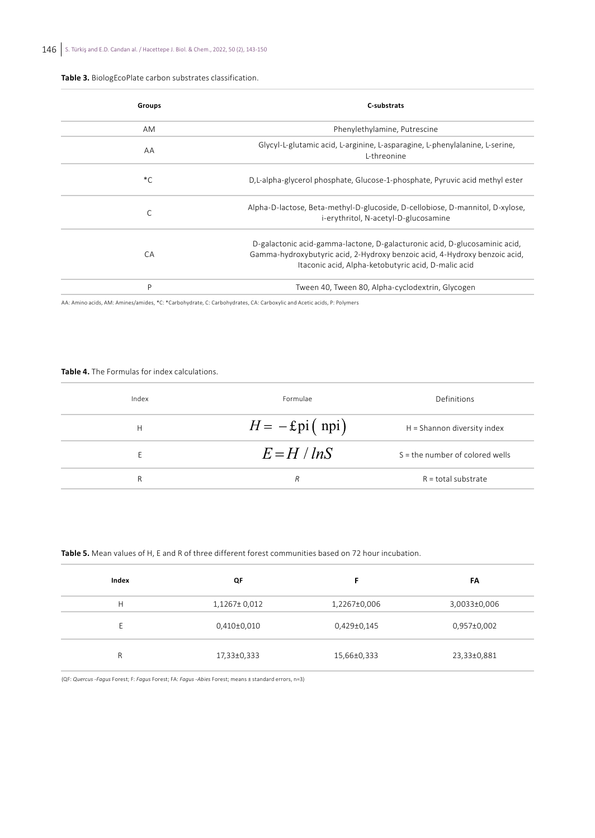#### **Table 3.** BiologEcoPlate carbon substrates classification.

| Groups      | C-substrats                                                                                                                                                                                                     |  |
|-------------|-----------------------------------------------------------------------------------------------------------------------------------------------------------------------------------------------------------------|--|
| AM          | Phenylethylamine, Putrescine                                                                                                                                                                                    |  |
| AA          | Glycyl-L-glutamic acid, L-arginine, L-asparagine, L-phenylalanine, L-serine,<br>I-threonine                                                                                                                     |  |
| $^{\ast}$ C | D.L-alpha-glycerol phosphate, Glucose-1-phosphate, Pyruvic acid methyl ester                                                                                                                                    |  |
| C           | Alpha-D-lactose, Beta-methyl-D-glucoside, D-cellobiose, D-mannitol, D-xylose,<br>i-erythritol, N-acetyl-D-glucosamine                                                                                           |  |
| CA          | D-galactonic acid-gamma-lactone, D-galacturonic acid, D-glucosaminic acid,<br>Gamma-hydroxybutyric acid, 2-Hydroxy benzoic acid, 4-Hydroxy benzoic acid,<br>Itaconic acid, Alpha-ketobutyric acid, D-malic acid |  |
| P           | Tween 40, Tween 80, Alpha-cyclodextrin, Glycogen                                                                                                                                                                |  |

AA: Amino acids, AM: Amines/amides, \*C: \*Carbohydrate, C: Carbohydrates, CA: Carboxylic and Acetic acids, P: Polymers

#### **Table 4.** The Formulas for index calculations.

| Index | Formulae                | Definitions                       |  |
|-------|-------------------------|-----------------------------------|--|
| Н     | $H = -\text{Epi}(n\pi)$ | H = Shannon diversity index       |  |
| Е     | $E = H / lnS$           | $S =$ the number of colored wells |  |
| R     | R                       | $R =$ total substrate             |  |

#### **Table 5.** Mean values of H, E and R of three different forest communities based on 72 hour incubation.

| Index | QF            | F            | FΑ           |
|-------|---------------|--------------|--------------|
| Н     | 1,1267± 0,012 | 1,2267±0,006 | 3,0033±0,006 |
| F     | 0,410±0,010   | 0,429±0,145  | 0,957±0,002  |
| R     | 17,33±0,333   | 15,66±0,333  | 23,33±0,881  |

(QF: *Quercus -Fagus* Forest; F: *Fagus* Forest; FA: *Fagus -Abies* Forest; means ± standard errors, n=3)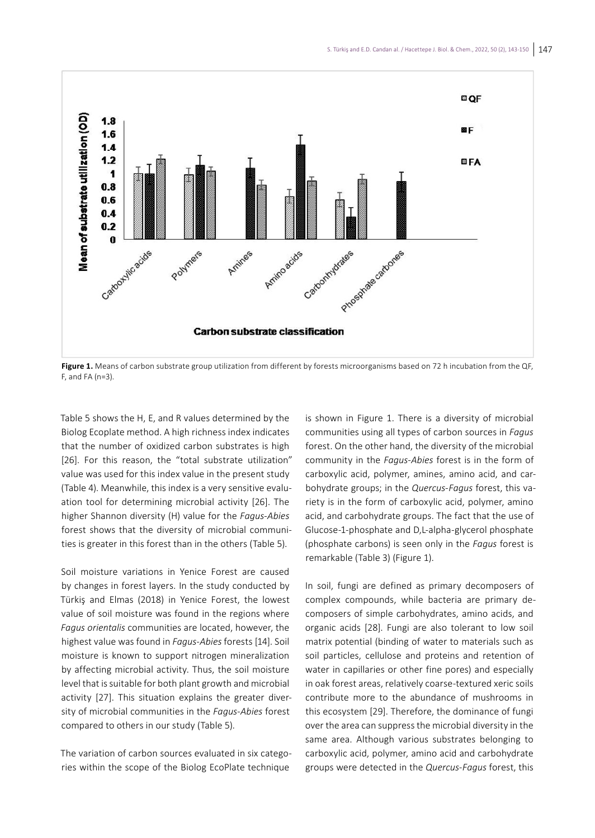

**Figure 1.** Means of carbon substrate group utilization from different by forests microorganisms based on 72 h incubation from the QF, F, and FA (n=3).

Table 5 shows the H, E, and R values determined by the Biolog Ecoplate method. A high richness index indicates that the number of oxidized carbon substrates is high [26]. For this reason, the "total substrate utilization" value was used for this index value in the present study (Table 4). Meanwhile, this index is a very sensitive evaluation tool for determining microbial activity [26]. The higher Shannon diversity (H) value for the *Fagus-Abies* forest shows that the diversity of microbial communities is greater in this forest than in the others (Table 5).

Soil moisture variations in Yenice Forest are caused by changes in forest layers. In the study conducted by Türkiş and Elmas (2018) in Yenice Forest, the lowest value of soil moisture was found in the regions where *Fagus orientalis* communities are located, however, the highest value was found in *Fagus-Abies* forests [14]. Soil moisture is known to support nitrogen mineralization by affecting microbial activity. Thus, the soil moisture level that is suitable for both plant growth and microbial activity [27]. This situation explains the greater diversity of microbial communities in the *Fagus-Abies* forest compared to others in our study (Table 5).

The variation of carbon sources evaluated in six categories within the scope of the Biolog EcoPlate technique

is shown in Figure 1. There is a diversity of microbial communities using all types of carbon sources in *Fagus*  forest. On the other hand, the diversity of the microbial community in the *Fagus-Abies* forest is in the form of carboxylic acid, polymer, amines, amino acid, and carbohydrate groups; in the *Quercus-Fagus* forest, this variety is in the form of carboxylic acid, polymer, amino acid, and carbohydrate groups. The fact that the use of Glucose-1-phosphate and D,L-alpha-glycerol phosphate (phosphate carbons) is seen only in the *Fagus* forest is remarkable (Table 3) (Figure 1).

In soil, fungi are defined as primary decomposers of complex compounds, while bacteria are primary decomposers of simple carbohydrates, amino acids, and organic acids [28]. Fungi are also tolerant to low soil matrix potential (binding of water to materials such as soil particles, cellulose and proteins and retention of water in capillaries or other fine pores) and especially in oak forest areas, relatively coarse-textured xeric soils contribute more to the abundance of mushrooms in this ecosystem [29]. Therefore, the dominance of fungi over the area can suppress the microbial diversity in the same area. Although various substrates belonging to carboxylic acid, polymer, amino acid and carbohydrate groups were detected in the *Quercus-Fagus* forest, this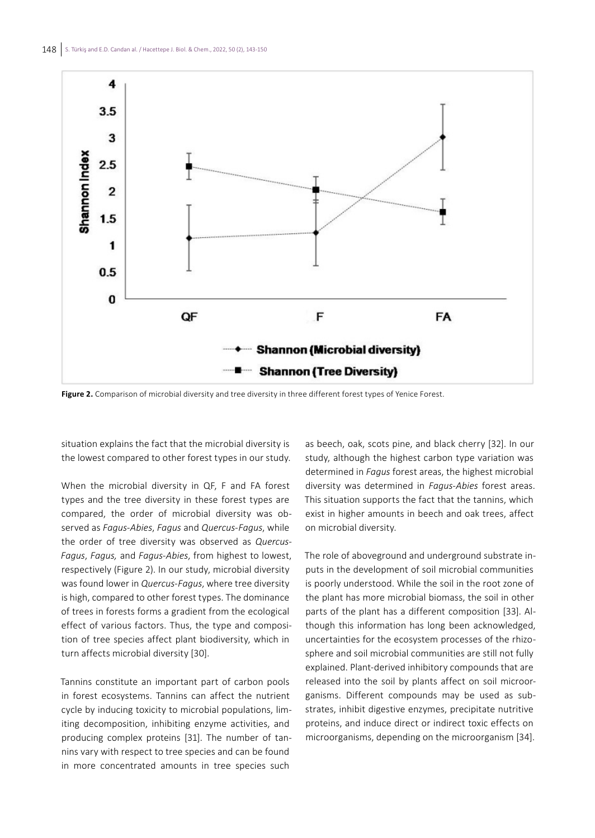

**Figure 2.** Comparison of microbial diversity and tree diversity in three different forest types of Yenice Forest.

situation explains the fact that the microbial diversity is the lowest compared to other forest types in our study.

When the microbial diversity in QF, F and FA forest types and the tree diversity in these forest types are compared, the order of microbial diversity was observed as *Fagus-Abies*, *Fagus* and *Quercus-Fagus*, while the order of tree diversity was observed as *Quercus-Fagus*, *Fagus,* and *Fagus-Abies*, from highest to lowest, respectively (Figure 2). In our study, microbial diversity was found lower in *Quercus-Fagus*, where tree diversity is high, compared to other forest types. The dominance of trees in forests forms a gradient from the ecological effect of various factors. Thus, the type and composition of tree species affect plant biodiversity, which in turn affects microbial diversity [30].

Tannins constitute an important part of carbon pools in forest ecosystems. Tannins can affect the nutrient cycle by inducing toxicity to microbial populations, limiting decomposition, inhibiting enzyme activities, and producing complex proteins [31]. The number of tannins vary with respect to tree species and can be found in more concentrated amounts in tree species such

as beech, oak, scots pine, and black cherry [32]. In our study, although the highest carbon type variation was determined in *Fagus* forest areas, the highest microbial diversity was determined in *Fagus-Abies* forest areas. This situation supports the fact that the tannins, which exist in higher amounts in beech and oak trees, affect on microbial diversity.

The role of aboveground and underground substrate inputs in the development of soil microbial communities is poorly understood. While the soil in the root zone of the plant has more microbial biomass, the soil in other parts of the plant has a different composition [33]. Although this information has long been acknowledged, uncertainties for the ecosystem processes of the rhizosphere and soil microbial communities are still not fully explained. Plant-derived inhibitory compounds that are released into the soil by plants affect on soil microorganisms. Different compounds may be used as substrates, inhibit digestive enzymes, precipitate nutritive proteins, and induce direct or indirect toxic effects on microorganisms, depending on the microorganism [34].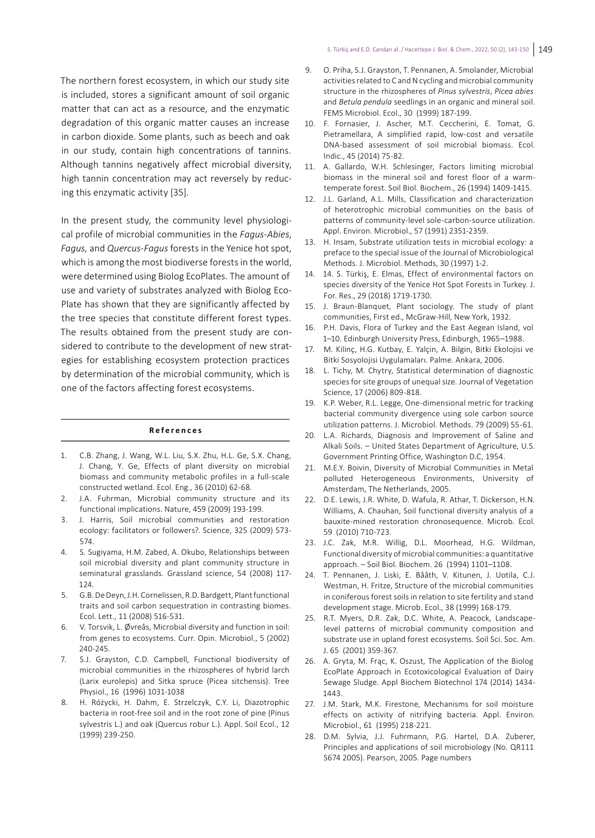The northern forest ecosystem, in which our study site is included, stores a significant amount of soil organic matter that can act as a resource, and the enzymatic degradation of this organic matter causes an increase in carbon dioxide. Some plants, such as beech and oak in our study, contain high concentrations of tannins. Although tannins negatively affect microbial diversity, high tannin concentration may act reversely by reducing this enzymatic activity [35].

In the present study, the community level physiological profile of microbial communities in the *Fagus-Abies*, *Fagus,* and *Quercus-Fagus* forests in the Yenice hot spot, which is among the most biodiverse forests in the world, were determined using Biolog EcoPlates. The amount of use and variety of substrates analyzed with Biolog Eco-Plate has shown that they are significantly affected by the tree species that constitute different forest types. The results obtained from the present study are considered to contribute to the development of new strategies for establishing ecosystem protection practices by determination of the microbial community, which is one of the factors affecting forest ecosystems.

#### **References**

- 1. C.B. Zhang, J. Wang, W.L. Liu, S.X. Zhu, H.L. Ge, S.X. Chang, J. Chang, Y. Ge, Effects of plant diversity on microbial biomass and community metabolic profiles in a full-scale constructed wetland. Ecol. Eng., 36 (2010) 62-68.
- 2. J.A. Fuhrman, Microbial community structure and its functional implications. Nature, 459 (2009) 193-199.
- 3. J. Harris, Soil microbial communities and restoration ecology: facilitators or followers?. Science, 325 (2009) 573- 574.
- 4. S. Sugiyama, H.M. Zabed, A. Okubo, Relationships between soil microbial diversity and plant community structure in seminatural grasslands. Grassland science, 54 (2008) 117- 124.
- 5. G.B. De Deyn, J.H. Cornelissen, R.D. Bardgett, Plant functional traits and soil carbon sequestration in contrasting biomes. Ecol. Lett., 11 (2008) 516-531.
- 6. V. Torsvik, L. Øvreås, Microbial diversity and function in soil: from genes to ecosystems. Curr. Opin. Microbiol., 5 (2002) 240-245.
- 7. S.J. Grayston, C.D. Campbell, Functional biodiversity of microbial communities in the rhizospheres of hybrid larch (Larix eurolepis) and Sitka spruce (Picea sitchensis). Tree Physiol., 16 (1996) 1031-1038
- 8. H. Różycki, H. Dahm, E. Strzelczyk, C.Y. Li, Diazotrophic bacteria in root-free soil and in the root zone of pine (Pinus sylvestris L.) and oak (Quercus robur L.). Appl. Soil Ecol., 12 (1999) 239-250.
- 9. O. Priha, S.J. Grayston, T. Pennanen, A. Smolander, Microbial activities related to C and N cycling and microbial community structure in the rhizospheres of *Pinus sylvestris*, *Picea abies* and *Betula pendula* seedlings in an organic and mineral soil. FEMS Microbiol. Ecol., 30 (1999) 187-199.
- 10. F. Fornasier, J. Ascher, M.T. Ceccherini, E. Tomat, G. Pietramellara, A simplified rapid, low-cost and versatile DNA-based assessment of soil microbial biomass. Ecol. Indic., 45 (2014) 75-82.
- 11. A. Gallardo, W.H. Schlesinger, Factors limiting microbial biomass in the mineral soil and forest floor of a warmtemperate forest. Soil Biol. Biochem., 26 (1994) 1409-1415.
- 12. J.L. Garland, A.L. Mills, Classification and characterization of heterotrophic microbial communities on the basis of patterns of community-level sole-carbon-source utilization. Appl. Environ. Microbiol., 57 (1991) 2351-2359.
- 13. H. Insam, Substrate utilization tests in microbial ecology: a preface to the special issue of the Journal of Microbiological Methods. J. Microbiol. Methods, 30 (1997) 1-2.
- 14. 14. S. Türkiş, E. Elmas, Effect of environmental factors on species diversity of the Yenice Hot Spot Forests in Turkey. J. For. Res., 29 (2018) 1719-1730.
- 15. J. Braun-Blanquet, Plant sociology. The study of plant communities, First ed., McGraw-Hill, New York, 1932.
- 16. P.H. Davis, Flora of Turkey and the East Aegean Island, vol 1–10. Edinburgh University Press, Edinburgh, 1965–1988.
- 17. M. Kilinç, H.G. Kutbay, E. Yalçin, A. Bilgin, Bitki Ekolojisi ve Bitki Sosyolojisi Uygulamaları. Palme. Ankara, 2006.
- 18. L. Tichy, M. Chytry, Statistical determination of diagnostic species for site groups of unequal size. Journal of Vegetation Science, 17 (2006) 809-818.
- 19. K.P. Weber, R.L. Legge, One-dimensional metric for tracking bacterial community divergence using sole carbon source utilization patterns. J. Microbiol. Methods. 79 (2009) 55-61.
- 20. L.A. Richards, Diagnosis and Improvement of Saline and Alkali Soils. – United States Department of Agriculture, U.S. Government Printing Office, Washington D.C, 1954.
- 21. M.E.Y. Boivin, Diversity of Microbial Communities in Metal polluted Heterogeneous Environments, University of Amsterdam, The Netherlands, 2005.
- 22. D.E. Lewis, J.R. White, D. Wafula, R. Athar, T. Dickerson, H.N. Williams, A. Chauhan, Soil functional diversity analysis of a bauxite-mined restoration chronosequence. Microb. Ecol. 59 (2010) 710-723.
- 23. J.C. Zak, M.R. Willig, D.L. Moorhead, H.G. Wildman, Functional diversity of microbial communities: a quantitative approach. – Soil Biol. Biochem. 26 (1994) 1101–1108.
- 24. T. Pennanen, J. Liski, E. Bååth, V. Kitunen, J. Uotila, C.J. Westman, H. Fritze, Structure of the microbial communities in coniferous forest soils in relation to site fertility and stand development stage. Microb. Ecol., 38 (1999) 168-179.
- 25. R.T. Myers, D.R. Zak, D.C. White, A. Peacock, Landscape‐ level patterns of microbial community composition and substrate use in upland forest ecosystems. Soil Sci. Soc. Am. J. 65 (2001) 359-367.
- 26. A. Gryta, M. Frąc, K. Oszust, The Application of the Biolog EcoPlate Approach in Ecotoxicological Evaluation of Dairy Sewage Sludge. Appl Biochem Biotechnol 174 (2014) 1434- 1443.
- 27. J.M. Stark, M.K. Firestone, Mechanisms for soil moisture effects on activity of nitrifying bacteria. Appl. Environ. Microbiol., 61 (1995) 218-221.
- 28. D.M. Sylvia, J.J. Fuhrmann, P.G. Hartel, D.A. Zuberer, Principles and applications of soil microbiology (No. QR111 S674 2005). Pearson, 2005. Page numbers